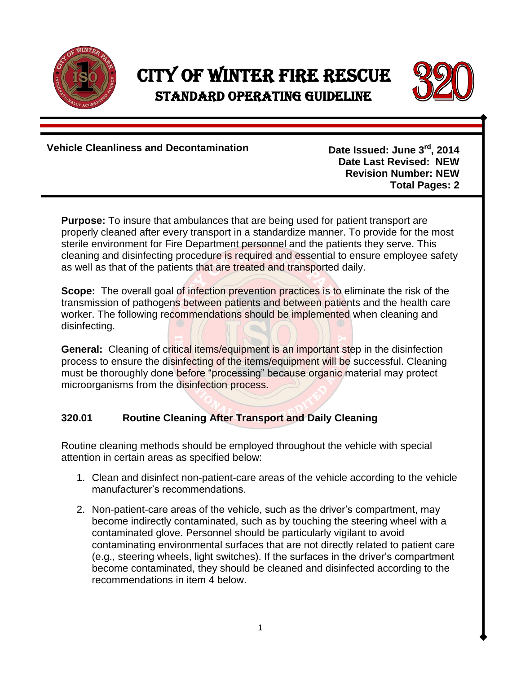

## City of Winter Fire Rescue Standard Operating Guideline



**Vehicle Cleanliness and Decontamination** 

**Date Issued: June 3rd , 2014 Date Last Revised: NEW Revision Number: NEW Total Pages: 2**

**Purpose:** To insure that ambulances that are being used for patient transport are properly cleaned after every transport in a standardize manner. To provide for the most sterile environment for Fire Department personnel and the patients they serve. This cleaning and disinfecting procedure is required and essential to ensure employee safety as well as that of the patients that are treated and transported daily.

**Scope:** The overall goal of infection prevention practices is to eliminate the risk of the transmission of pathogens between patients and between patients and the health care worker. The following recommendations should be implemented when cleaning and disinfecting.

**General:** Cleaning of critical items/equipment is an important step in the disinfection process to ensure the disinfecting of the items/equipment will be successful. Cleaning must be thoroughly done before "processing" because organic material may protect microorganisms from the disinfection process.

## **320.01 Routine Cleaning After Transport and Daily Cleaning**

Routine cleaning methods should be employed throughout the vehicle with special attention in certain areas as specified below:

- 1. Clean and disinfect non-patient-care areas of the vehicle according to the vehicle manufacturer's recommendations.
- 2. Non-patient-care areas of the vehicle, such as the driver's compartment, may become indirectly contaminated, such as by touching the steering wheel with a contaminated glove. Personnel should be particularly vigilant to avoid contaminating environmental surfaces that are not directly related to patient care (e.g., steering wheels, light switches). If the surfaces in the driver's compartment become contaminated, they should be cleaned and disinfected according to the recommendations in item 4 below.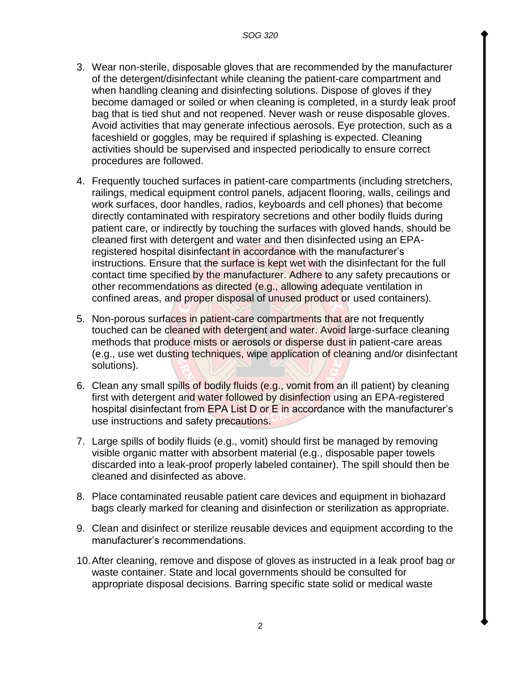- 3. Wear non-sterile, disposable gloves that are recommended by the manufacturer of the detergent/disinfectant while cleaning the patient-care compartment and when handling cleaning and disinfecting solutions. Dispose of gloves if they become damaged or soiled or when cleaning is completed, in a sturdy leak proof bag that is tied shut and not reopened. Never wash or reuse disposable gloves. Avoid activities that may generate infectious aerosols. Eye protection, such as a faceshield or goggles, may be required if splashing is expected. Cleaning activities should be supervised and inspected periodically to ensure correct procedures are followed.
- 4. Frequently touched surfaces in patient-care compartments (including stretchers, railings, medical equipment control panels, adjacent flooring, walls, ceilings and work surfaces, door handles, radios, keyboards and cell phones) that become directly contaminated with respiratory secretions and other bodily fluids during patient care, or indirectly by touching the surfaces with gloved hands, should be cleaned first with detergent and water and then disinfected using an EPAregistered hospital disinfectant in accordance with the manufacturer's instructions. Ensure that the surface is kept wet with the disinfectant for the full contact time specified by the manufacturer. Adhere to any safety precautions or other recommendations as directed (e.g., allowing adequate ventilation in confined areas, and proper disposal of unused product or used containers).
- 5. Non-porous surfaces in patient-care compartments that are not frequently touched can be cleaned with detergent and water. Avoid large-surface cleaning methods that produce mists or aerosols or disperse dust in patient-care areas (e.g., use wet dusting techniques, wipe application of cleaning and/or disinfectant solutions).
- 6. Clean any small spills of bodily fluids (e.g., vomit from an ill patient) by cleaning first with detergent and water followed by disinfection using an EPA-registered hospital disinfectant from EPA List D or E in accordance with the manufacturer's use instructions and safety precautions.
- 7. Large spills of bodily fluids (e.g., vomit) should first be managed by removing visible organic matter with absorbent material (e.g., disposable paper towels discarded into a leak-proof properly labeled container). The spill should then be cleaned and disinfected as above.
- 8. Place contaminated reusable patient care devices and equipment in biohazard bags clearly marked for cleaning and disinfection or sterilization as appropriate.
- 9. Clean and disinfect or sterilize reusable devices and equipment according to the manufacturer's recommendations.
- 10.After cleaning, remove and dispose of gloves as instructed in a leak proof bag or waste container. State and local governments should be consulted for appropriate disposal decisions. Barring specific state solid or medical waste